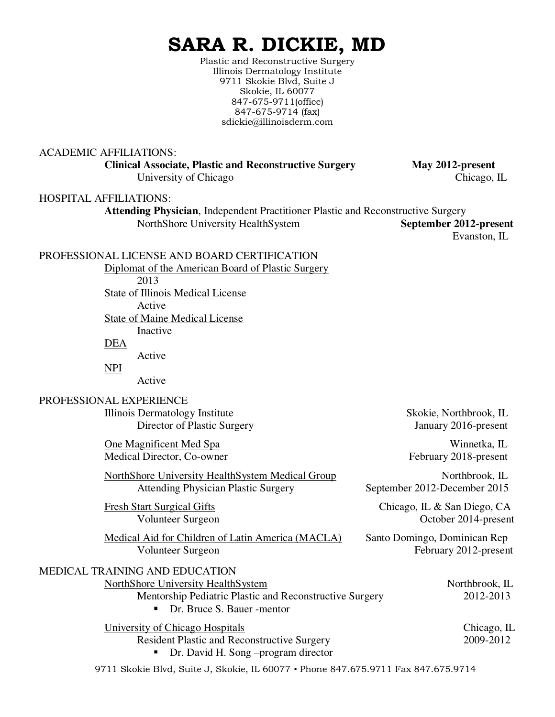Plastic and Reconstructive Surgery Illinois Dermatology Institute 9711 Skokie Blvd, Suite J Skokie, IL 60077 847-675-9711(office) 847-675-9714 (fax) sdickie@illinoisderm.com

ACADEMIC AFFILIATIONS: **Clinical Associate, Plastic and Reconstructive Surgery May 2012-present** University of Chicago Chicago, IL

HOSPITAL AFFILIATIONS:

**Attending Physician**, Independent Practitioner Plastic and Reconstructive Surgery NorthShore University HealthSystem **September 2012-present**

Evanston, IL

#### PROFESSIONAL LICENSE AND BOARD CERTIFICATION

 Diplomat of the American Board of Plastic Surgery 2013 State of Illinois Medical License Active State of Maine Medical License Inactive

DEA

Active

NPI

Active

### PROFESSIONAL EXPERIENCE

Illinois Dermatology Institute Skokie, Northbrook, IL Director of Plastic SurgeryJanuary 2016-present

One Magnificent Med Spa Winnetka, IL Medical Director, Co-owner February 2018-present

NorthShore University HealthSystem Medical Group Northbrook, IL Attending Physician Plastic Surgery September 2012-December 2015

Medical Aid for Children of Latin America (MACLA) Santo Domingo, Dominican Rep Volunteer Surgeon February 2012-present

MEDICAL TRAINING AND EDUCATION

NorthShore University HealthSystem Northbrook, IL

Mentorship Pediatric Plastic and Reconstructive Surgery 2012-2013 ■ Dr. Bruce S. Bauer -mentor

University of Chicago Hospitals Chicago, IL

Resident Plastic and Reconstructive Surgery 2009-2012

■ Dr. David H. Song –program director

Fresh Start Surgical Gifts Chicago, IL & San Diego, CA Volunteer Surgeon October 2014-present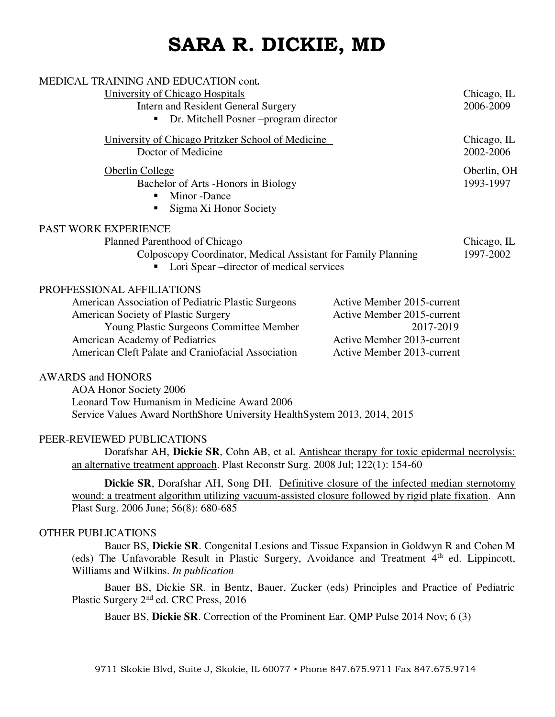| MEDICAL TRAINING AND EDUCATION cont.                          |                            |             |
|---------------------------------------------------------------|----------------------------|-------------|
| University of Chicago Hospitals                               |                            | Chicago, IL |
| <b>Intern and Resident General Surgery</b>                    |                            | 2006-2009   |
| Dr. Mitchell Posner – program director<br>$\blacksquare$      |                            |             |
| University of Chicago Pritzker School of Medicine             |                            | Chicago, IL |
| Doctor of Medicine                                            |                            | 2002-2006   |
| Oberlin College                                               |                            | Oberlin, OH |
| Bachelor of Arts - Honors in Biology                          |                            | 1993-1997   |
| Minor -Dance                                                  |                            |             |
| Sigma Xi Honor Society                                        |                            |             |
| PAST WORK EXPERIENCE                                          |                            |             |
| Planned Parenthood of Chicago                                 |                            | Chicago, IL |
| Colposcopy Coordinator, Medical Assistant for Family Planning |                            | 1997-2002   |
| Lori Spear – director of medical services                     |                            |             |
| PROFFESSIONAL AFFILIATIONS                                    |                            |             |
| American Association of Pediatric Plastic Surgeons            | Active Member 2015-current |             |
| <b>American Society of Plastic Surgery</b>                    | Active Member 2015-current |             |
| Young Plastic Surgeons Committee Member                       | 2017-2019                  |             |
| <b>American Academy of Pediatrics</b>                         | Active Member 2013-current |             |
| American Cleft Palate and Craniofacial Association            | Active Member 2013-current |             |
| <b>AWARDS and HONORS</b>                                      |                            |             |
| <b>AOA Honor Society 2006</b>                                 |                            |             |
| Leonard Tow Humanism in Medicine Award 2006                   |                            |             |

Service Values Award NorthShore University HealthSystem 2013, 2014, 2015

### PEER-REVIEWED PUBLICATIONS

Dorafshar AH, **Dickie SR**, Cohn AB, et al. Antishear therapy for toxic epidermal necrolysis: an alternative treatment approach. Plast Reconstr Surg. 2008 Jul; 122(1): 154-60

**Dickie SR**, Dorafshar AH, Song DH. Definitive closure of the infected median sternotomy wound: a treatment algorithm utilizing vacuum-assisted closure followed by rigid plate fixation. Ann Plast Surg. 2006 June; 56(8): 680-685

## OTHER PUBLICATIONS

Bauer BS, **Dickie SR**. Congenital Lesions and Tissue Expansion in Goldwyn R and Cohen M (eds) The Unfavorable Result in Plastic Surgery, Avoidance and Treatment 4th ed. Lippincott, Williams and Wilkins. *In publication* 

Bauer BS, Dickie SR. in Bentz, Bauer, Zucker (eds) Principles and Practice of Pediatric Plastic Surgery 2nd ed. CRC Press, 2016

Bauer BS, **Dickie SR**. Correction of the Prominent Ear. QMP Pulse 2014 Nov; 6 (3)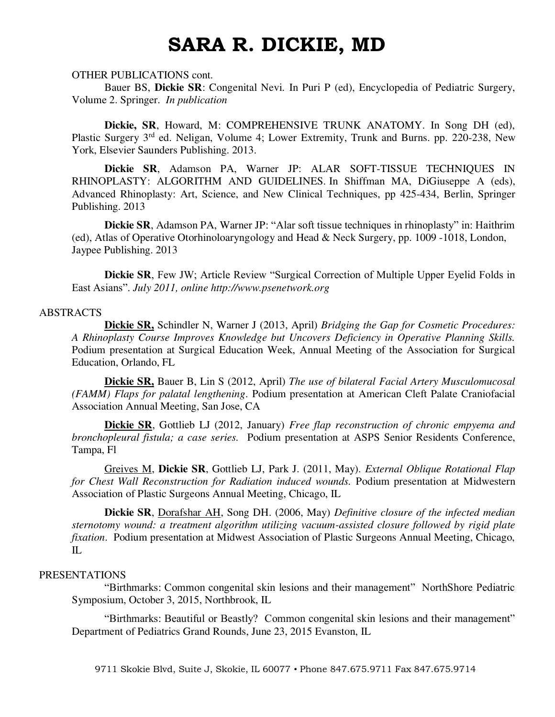#### OTHER PUBLICATIONS cont.

Bauer BS, **Dickie SR**: Congenital Nevi. In Puri P (ed), Encyclopedia of Pediatric Surgery, Volume 2. Springer. *In publication* 

**Dickie, SR**, Howard, M: COMPREHENSIVE TRUNK ANATOMY. In Song DH (ed), Plastic Surgery 3rd ed. Neligan, Volume 4; Lower Extremity, Trunk and Burns. pp. 220-238, New York, Elsevier Saunders Publishing. 2013.

**Dickie SR**, Adamson PA, Warner JP: ALAR SOFT-TISSUE TECHNIQUES IN RHINOPLASTY: ALGORITHM AND GUIDELINES. In Shiffman MA, DiGiuseppe A (eds), Advanced Rhinoplasty: Art, Science, and New Clinical Techniques, pp 425-434, Berlin, Springer Publishing. 2013

**Dickie SR**, Adamson PA, Warner JP: "Alar soft tissue techniques in rhinoplasty" in: Haithrim (ed), Atlas of Operative Otorhinoloaryngology and Head & Neck Surgery, pp. 1009 -1018, London, Jaypee Publishing. 2013

**Dickie SR**, Few JW; Article Review "Surgical Correction of Multiple Upper Eyelid Folds in East Asians". *July 2011, online http://www.psenetwork.org* 

#### ABSTRACTS

**Dickie SR,** Schindler N, Warner J (2013, April) *Bridging the Gap for Cosmetic Procedures: A Rhinoplasty Course Improves Knowledge but Uncovers Deficiency in Operative Planning Skills.* Podium presentation at Surgical Education Week, Annual Meeting of the Association for Surgical Education, Orlando, FL

**Dickie SR,** Bauer B, Lin S (2012, April) *The use of bilateral Facial Artery Musculomucosal (FAMM) Flaps for palatal lengthening*. Podium presentation at American Cleft Palate Craniofacial Association Annual Meeting, San Jose, CA

**Dickie SR**, Gottlieb LJ (2012, January) *Free flap reconstruction of chronic empyema and bronchopleural fistula; a case series.* Podium presentation at ASPS Senior Residents Conference, Tampa, Fl

Greives M, **Dickie SR**, Gottlieb LJ, Park J. (2011, May). *External Oblique Rotational Flap for Chest Wall Reconstruction for Radiation induced wounds.* Podium presentation at Midwestern Association of Plastic Surgeons Annual Meeting, Chicago, IL

**Dickie SR**, Dorafshar AH, Song DH. (2006, May) *Definitive closure of the infected median sternotomy wound: a treatment algorithm utilizing vacuum-assisted closure followed by rigid plate fixation*. Podium presentation at Midwest Association of Plastic Surgeons Annual Meeting, Chicago,  $\Pi$ .

#### PRESENTATIONS

"Birthmarks: Common congenital skin lesions and their management" NorthShore Pediatric Symposium, October 3, 2015, Northbrook, IL

"Birthmarks: Beautiful or Beastly? Common congenital skin lesions and their management" Department of Pediatrics Grand Rounds, June 23, 2015 Evanston, IL